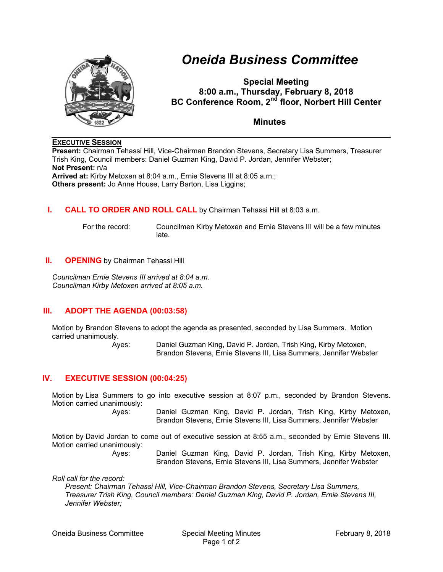

# *Oneida Business Committee*

**Special Meeting 8:00 a.m., Thursday, February 8, 2018 BC Conference Room, 2<sup>nd</sup> floor, Norbert Hill Center** 

**Minutes** 

# **EXECUTIVE SESSION**

**Present:** Chairman Tehassi Hill, Vice-Chairman Brandon Stevens, Secretary Lisa Summers, Treasurer Trish King, Council members: Daniel Guzman King, David P. Jordan, Jennifer Webster; **Not Present:** n/a **Arrived at:** Kirby Metoxen at 8:04 a.m., Ernie Stevens III at 8:05 a.m.; **Others present:** Jo Anne House, Larry Barton, Lisa Liggins;

# **I. CALL TO ORDER AND ROLL CALL** by Chairman Tehassi Hill at 8:03 a.m.

 For the record: Councilmen Kirby Metoxen and Ernie Stevens III will be a few minutes late.

### **II. OPENING** by Chairman Tehassi Hill

*Councilman Ernie Stevens III arrived at 8:04 a.m. Councilman Kirby Metoxen arrived at 8:05 a.m.* 

# **III. ADOPT THE AGENDA (00:03:58)**

Motion by Brandon Stevens to adopt the agenda as presented, seconded by Lisa Summers. Motion carried unanimously.

Ayes: Daniel Guzman King, David P. Jordan, Trish King, Kirby Metoxen, Brandon Stevens, Ernie Stevens III, Lisa Summers, Jennifer Webster

### **IV. EXECUTIVE SESSION (00:04:25)**

Motion by Lisa Summers to go into executive session at 8:07 p.m., seconded by Brandon Stevens. Motion carried unanimously:

Ayes: Daniel Guzman King, David P. Jordan, Trish King, Kirby Metoxen, Brandon Stevens, Ernie Stevens III, Lisa Summers, Jennifer Webster

Motion by David Jordan to come out of executive session at 8:55 a.m., seconded by Ernie Stevens III. Motion carried unanimously:

Ayes: Daniel Guzman King, David P. Jordan, Trish King, Kirby Metoxen, Brandon Stevens, Ernie Stevens III, Lisa Summers, Jennifer Webster

*Roll call for the record:* 

*Present: Chairman Tehassi Hill, Vice-Chairman Brandon Stevens, Secretary Lisa Summers, Treasurer Trish King, Council members: Daniel Guzman King, David P. Jordan, Ernie Stevens III, Jennifer Webster;*